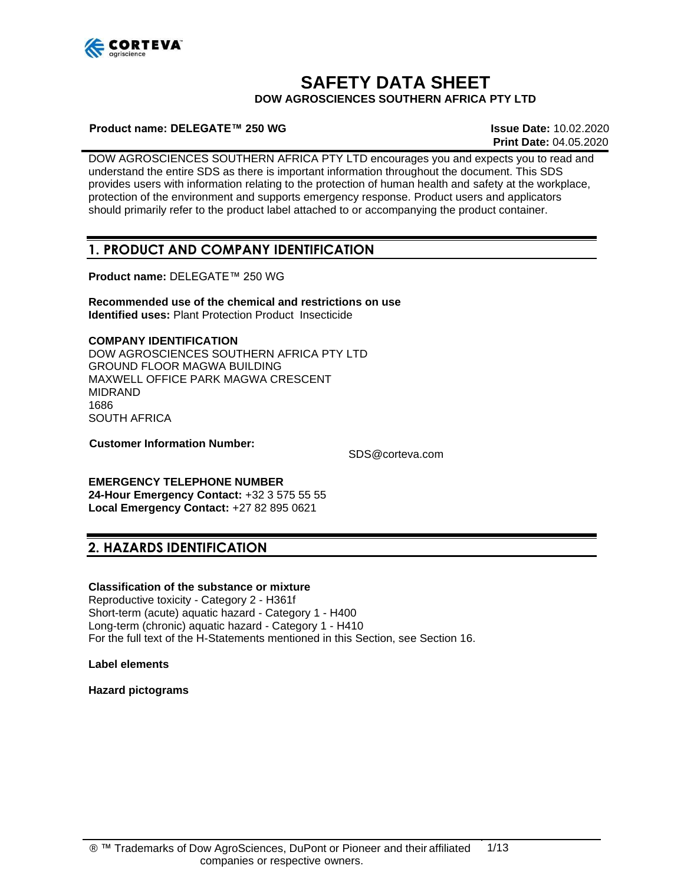

# **SAFETY DATA SHEET**

**DOW AGROSCIENCES SOUTHERN AFRICA PTY LTD**

#### **Product name: DELEGATE™ 250 WG Issue Date:** 10.02.2020

**Print Date:** 04.05.2020

DOW AGROSCIENCES SOUTHERN AFRICA PTY LTD encourages you and expects you to read and understand the entire SDS as there is important information throughout the document. This SDS provides users with information relating to the protection of human health and safety at the workplace, protection of the environment and supports emergency response. Product users and applicators should primarily refer to the product label attached to or accompanying the product container.

### **1. PRODUCT AND COMPANY IDENTIFICATION**

**Product name:** DELEGATE™ 250 WG

**Recommended use of the chemical and restrictions on use Identified uses:** Plant Protection Product Insecticide

#### **COMPANY IDENTIFICATION**

DOW AGROSCIENCES SOUTHERN AFRICA PTY LTD GROUND FLOOR MAGWA BUILDING MAXWELL OFFICE PARK MAGWA CRESCENT MIDRAND 1686 SOUTH AFRICA

**Customer Information Number:**

[SDS@corteva.com](mailto:SDS@corteva.com)

# **EMERGENCY TELEPHONE NUMBER**

**24-Hour Emergency Contact:** +32 3 575 55 55 **Local Emergency Contact:** +27 82 895 0621

### **2. HAZARDS IDENTIFICATION**

#### **Classification of the substance or mixture**

Reproductive toxicity - Category 2 - H361f Short-term (acute) aquatic hazard - Category 1 - H400 Long-term (chronic) aquatic hazard - Category 1 - H410 For the full text of the H-Statements mentioned in this Section, see Section 16.

**Label elements** 

**Hazard pictograms**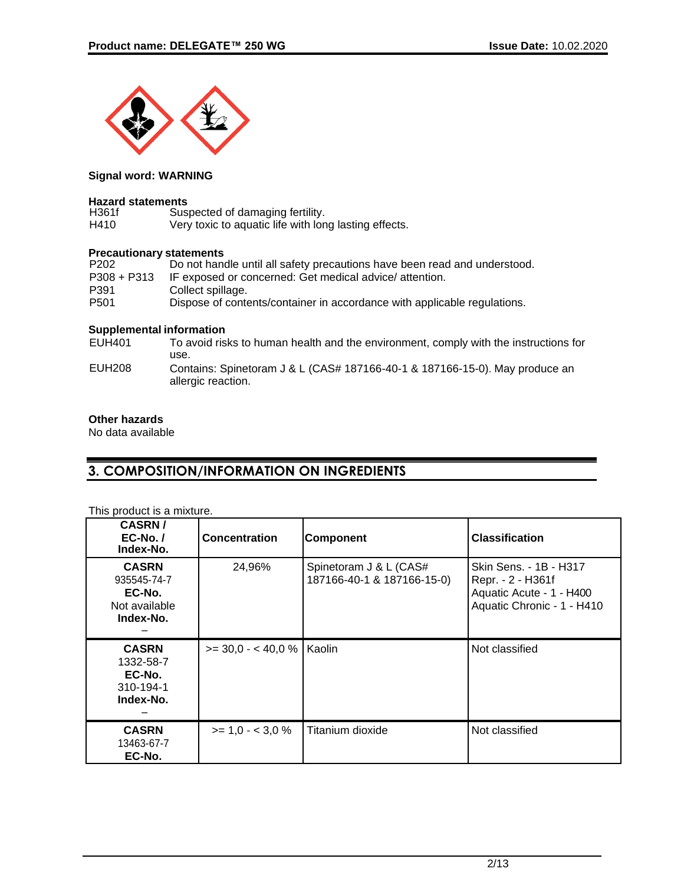

#### **Signal word: WARNING**

#### **Hazard statements**

| H361f | Suspected of damaging fertility.                      |
|-------|-------------------------------------------------------|
| H410  | Very toxic to aquatic life with long lasting effects. |

### **Precautionary statements**

| P <sub>202</sub> | Do not handle until all safety precautions have been read and understood. |
|------------------|---------------------------------------------------------------------------|
| $P308 + P313$    | IF exposed or concerned: Get medical advice/ attention.                   |
| P391             | Collect spillage.                                                         |
| P <sub>501</sub> | Dispose of contents/container in accordance with applicable regulations.  |
|                  |                                                                           |

#### **Supplemental information**

| To avoid risks to human health and the environment, comply with the instructions for              |
|---------------------------------------------------------------------------------------------------|
| use.                                                                                              |
| Contains: Spinetoram J & L (CAS# 187166-40-1 & 187166-15-0). May produce an<br>allergic reaction. |
|                                                                                                   |

#### **Other hazards**

No data available

# **3. COMPOSITION/INFORMATION ON INGREDIENTS**

#### This product is a mixture.

| <b>CASRN/</b><br>$EC-No.$<br>Index-No.                              | <b>Concentration</b>        | <b>Component</b>                                     | <b>Classification</b>                                                                                 |
|---------------------------------------------------------------------|-----------------------------|------------------------------------------------------|-------------------------------------------------------------------------------------------------------|
| <b>CASRN</b><br>935545-74-7<br>EC-No.<br>Not available<br>Index-No. | 24,96%                      | Spinetoram J & L (CAS#<br>187166-40-1 & 187166-15-0) | Skin Sens. - 1B - H317<br>Repr. - 2 - H361f<br>Aquatic Acute - 1 - H400<br>Aquatic Chronic - 1 - H410 |
| <b>CASRN</b><br>1332-58-7<br>EC-No.<br>310-194-1<br>Index-No.       | >= 30,0 - < 40,0 %   Kaolin |                                                      | Not classified                                                                                        |
| <b>CASRN</b><br>13463-67-7<br>EC-No.                                | $>= 1.0 - < 3.0 \%$         | Titanium dioxide                                     | Not classified                                                                                        |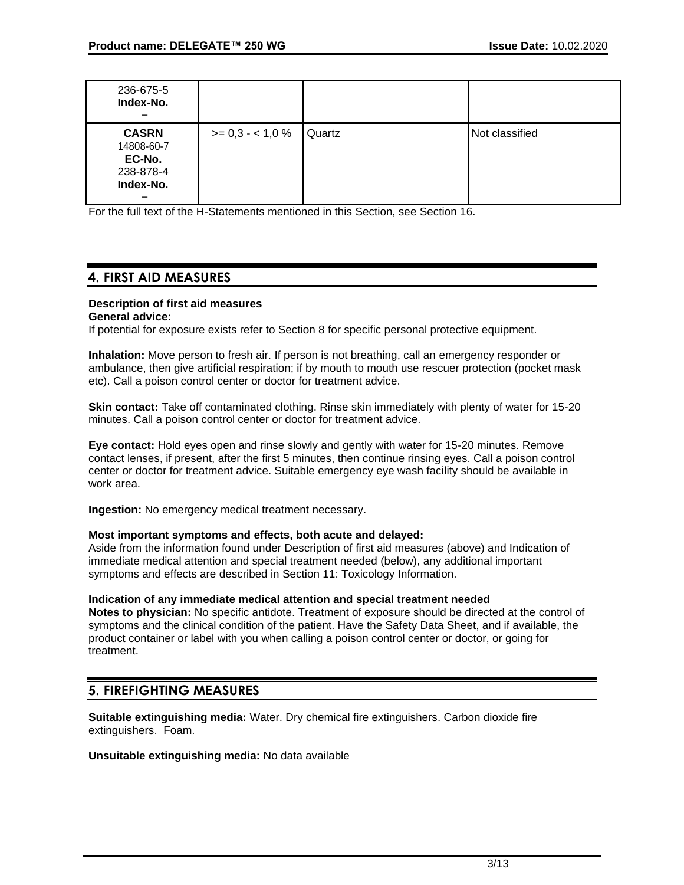| 236-675-5<br>Index-No.                                         |                  |        |                |
|----------------------------------------------------------------|------------------|--------|----------------|
| <b>CASRN</b><br>14808-60-7<br>EC-No.<br>238-878-4<br>Index-No. | $>= 0.3 - 1.0 %$ | Quartz | Not classified |

For the full text of the H-Statements mentioned in this Section, see Section 16.

# **4. FIRST AID MEASURES**

### **Description of first aid measures**

#### **General advice:**

If potential for exposure exists refer to Section 8 for specific personal protective equipment.

**Inhalation:** Move person to fresh air. If person is not breathing, call an emergency responder or ambulance, then give artificial respiration; if by mouth to mouth use rescuer protection (pocket mask etc). Call a poison control center or doctor for treatment advice.

**Skin contact:** Take off contaminated clothing. Rinse skin immediately with plenty of water for 15-20 minutes. Call a poison control center or doctor for treatment advice.

**Eye contact:** Hold eyes open and rinse slowly and gently with water for 15-20 minutes. Remove contact lenses, if present, after the first 5 minutes, then continue rinsing eyes. Call a poison control center or doctor for treatment advice. Suitable emergency eye wash facility should be available in work area.

**Ingestion:** No emergency medical treatment necessary.

#### **Most important symptoms and effects, both acute and delayed:**

Aside from the information found under Description of first aid measures (above) and Indication of immediate medical attention and special treatment needed (below), any additional important symptoms and effects are described in Section 11: Toxicology Information.

#### **Indication of any immediate medical attention and special treatment needed**

**Notes to physician:** No specific antidote. Treatment of exposure should be directed at the control of symptoms and the clinical condition of the patient. Have the Safety Data Sheet, and if available, the product container or label with you when calling a poison control center or doctor, or going for treatment.

### **5. FIREFIGHTING MEASURES**

**Suitable extinguishing media:** Water. Dry chemical fire extinguishers. Carbon dioxide fire extinguishers. Foam.

**Unsuitable extinguishing media:** No data available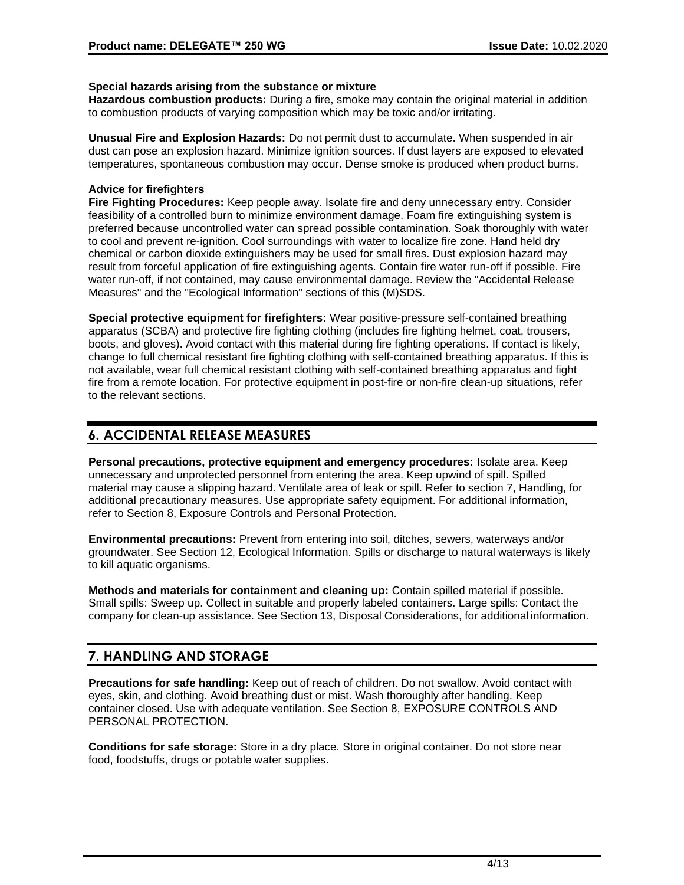#### **Special hazards arising from the substance or mixture**

**Hazardous combustion products:** During a fire, smoke may contain the original material in addition to combustion products of varying composition which may be toxic and/or irritating.

**Unusual Fire and Explosion Hazards:** Do not permit dust to accumulate. When suspended in air dust can pose an explosion hazard. Minimize ignition sources. If dust layers are exposed to elevated temperatures, spontaneous combustion may occur. Dense smoke is produced when product burns.

#### **Advice for firefighters**

**Fire Fighting Procedures:** Keep people away. Isolate fire and deny unnecessary entry. Consider feasibility of a controlled burn to minimize environment damage. Foam fire extinguishing system is preferred because uncontrolled water can spread possible contamination. Soak thoroughly with water to cool and prevent re-ignition. Cool surroundings with water to localize fire zone. Hand held dry chemical or carbon dioxide extinguishers may be used for small fires. Dust explosion hazard may result from forceful application of fire extinguishing agents. Contain fire water run-off if possible. Fire water run-off, if not contained, may cause environmental damage. Review the "Accidental Release Measures" and the "Ecological Information" sections of this (M)SDS.

**Special protective equipment for firefighters:** Wear positive-pressure self-contained breathing apparatus (SCBA) and protective fire fighting clothing (includes fire fighting helmet, coat, trousers, boots, and gloves). Avoid contact with this material during fire fighting operations. If contact is likely, change to full chemical resistant fire fighting clothing with self-contained breathing apparatus. If this is not available, wear full chemical resistant clothing with self-contained breathing apparatus and fight fire from a remote location. For protective equipment in post-fire or non-fire clean-up situations, refer to the relevant sections.

# **6. ACCIDENTAL RELEASE MEASURES**

**Personal precautions, protective equipment and emergency procedures:** Isolate area. Keep unnecessary and unprotected personnel from entering the area. Keep upwind of spill. Spilled material may cause a slipping hazard. Ventilate area of leak or spill. Refer to section 7, Handling, for additional precautionary measures. Use appropriate safety equipment. For additional information, refer to Section 8, Exposure Controls and Personal Protection.

**Environmental precautions:** Prevent from entering into soil, ditches, sewers, waterways and/or groundwater. See Section 12, Ecological Information. Spills or discharge to natural waterways is likely to kill aquatic organisms.

**Methods and materials for containment and cleaning up:** Contain spilled material if possible. Small spills: Sweep up. Collect in suitable and properly labeled containers. Large spills: Contact the company for clean-up assistance. See Section 13, Disposal Considerations, for additional information.

# **7. HANDLING AND STORAGE**

**Precautions for safe handling:** Keep out of reach of children. Do not swallow. Avoid contact with eyes, skin, and clothing. Avoid breathing dust or mist. Wash thoroughly after handling. Keep container closed. Use with adequate ventilation. See Section 8, EXPOSURE CONTROLS AND PERSONAL PROTECTION.

**Conditions for safe storage:** Store in a dry place. Store in original container. Do not store near food, foodstuffs, drugs or potable water supplies.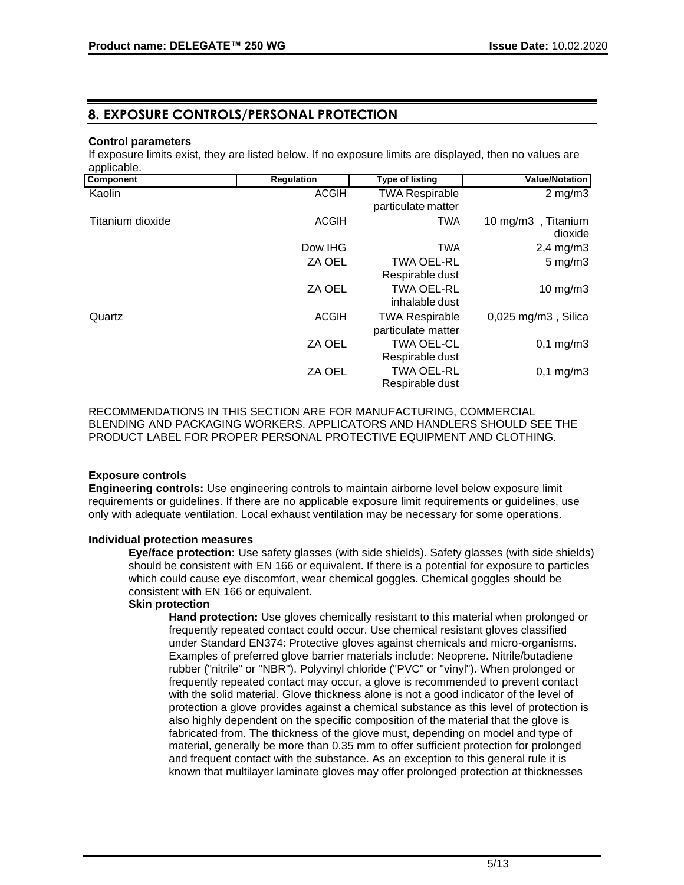## **8. EXPOSURE CONTROLS/PERSONAL PROTECTION**

#### **Control parameters**

If exposure limits exist, they are listed below. If no exposure limits are displayed, then no values are applicable.

| Component        | <b>Regulation</b> | <b>Type of listing</b>               | <b>Value/Notation</b>         |
|------------------|-------------------|--------------------------------------|-------------------------------|
| Kaolin           | <b>ACGIH</b>      | <b>TWA Respirable</b>                | $2 \text{ mg/m}$              |
|                  |                   | particulate matter                   |                               |
| Titanium dioxide | <b>ACGIH</b>      | TWA                                  | 10 mg/m3, Titanium<br>dioxide |
|                  | Dow IHG           | <b>TWA</b>                           | $2,4$ mg/m $3$                |
|                  | ZA OEL            | <b>TWA OEL-RL</b>                    | $5 \text{ mg/m}$ 3            |
|                  |                   | Respirable dust                      |                               |
|                  | ZA OEL            | <b>TWA OEL-RL</b>                    | $10 \text{ mg/m}$ 3           |
|                  |                   | inhalable dust                       |                               |
| Quartz           | <b>ACGIH</b>      | <b>TWA Respirable</b>                | $0,025$ mg/m $3$ , Silica     |
|                  |                   | particulate matter                   |                               |
|                  | ZA OEL            | <b>TWA OEL-CL</b>                    | $0,1 \, \text{mg/m3}$         |
|                  |                   | Respirable dust                      |                               |
|                  | ZA OEL            | <b>TWA OEL-RL</b><br>Respirable dust | $0,1$ mg/m $3$                |

RECOMMENDATIONS IN THIS SECTION ARE FOR MANUFACTURING, COMMERCIAL BLENDING AND PACKAGING WORKERS. APPLICATORS AND HANDLERS SHOULD SEE THE PRODUCT LABEL FOR PROPER PERSONAL PROTECTIVE EQUIPMENT AND CLOTHING.

#### **Exposure controls**

**Engineering controls:** Use engineering controls to maintain airborne level below exposure limit requirements or guidelines. If there are no applicable exposure limit requirements or guidelines, use only with adequate ventilation. Local exhaust ventilation may be necessary for some operations.

#### **Individual protection measures**

**Eye/face protection:** Use safety glasses (with side shields). Safety glasses (with side shields) should be consistent with EN 166 or equivalent. If there is a potential for exposure to particles which could cause eye discomfort, wear chemical goggles. Chemical goggles should be consistent with EN 166 or equivalent.

#### **Skin protection**

**Hand protection:** Use gloves chemically resistant to this material when prolonged or frequently repeated contact could occur. Use chemical resistant gloves classified under Standard EN374: Protective gloves against chemicals and micro-organisms. Examples of preferred glove barrier materials include: Neoprene. Nitrile/butadiene rubber ("nitrile" or "NBR"). Polyvinyl chloride ("PVC" or "vinyl"). When prolonged or frequently repeated contact may occur, a glove is recommended to prevent contact with the solid material. Glove thickness alone is not a good indicator of the level of protection a glove provides against a chemical substance as this level of protection is also highly dependent on the specific composition of the material that the glove is fabricated from. The thickness of the glove must, depending on model and type of material, generally be more than 0.35 mm to offer sufficient protection for prolonged and frequent contact with the substance. As an exception to this general rule it is known that multilayer laminate gloves may offer prolonged protection at thicknesses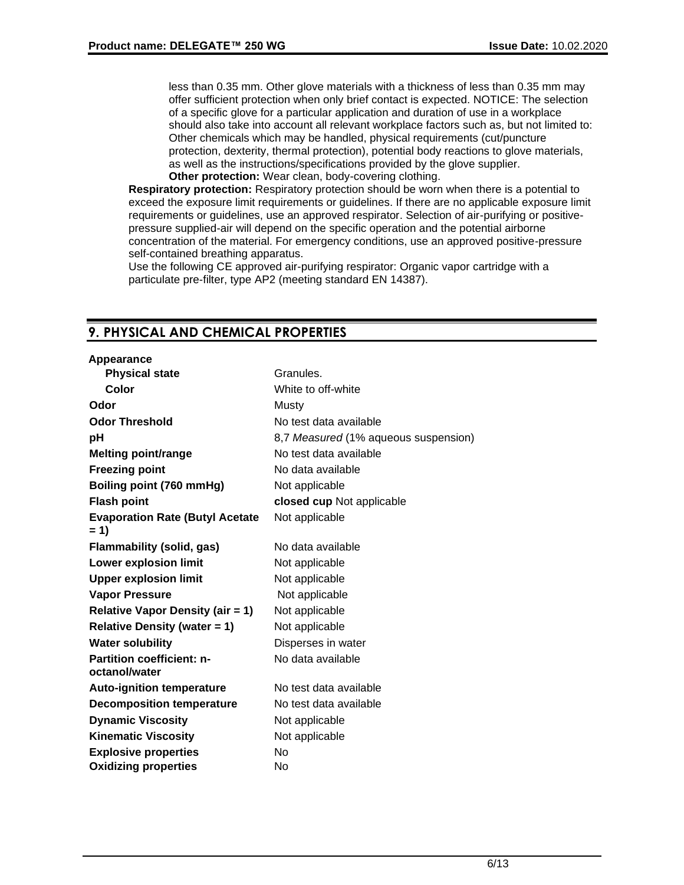less than 0.35 mm. Other glove materials with a thickness of less than 0.35 mm may offer sufficient protection when only brief contact is expected. NOTICE: The selection of a specific glove for a particular application and duration of use in a workplace should also take into account all relevant workplace factors such as, but not limited to: Other chemicals which may be handled, physical requirements (cut/puncture protection, dexterity, thermal protection), potential body reactions to glove materials, as well as the instructions/specifications provided by the glove supplier.

**Other protection:** Wear clean, body-covering clothing.

**Respiratory protection:** Respiratory protection should be worn when there is a potential to exceed the exposure limit requirements or guidelines. If there are no applicable exposure limit requirements or guidelines, use an approved respirator. Selection of air-purifying or positivepressure supplied-air will depend on the specific operation and the potential airborne concentration of the material. For emergency conditions, use an approved positive-pressure self-contained breathing apparatus.

Use the following CE approved air-purifying respirator: Organic vapor cartridge with a particulate pre-filter, type AP2 (meeting standard EN 14387).

# **9. PHYSICAL AND CHEMICAL PROPERTIES**

| Appearance                                        |                                      |
|---------------------------------------------------|--------------------------------------|
| <b>Physical state</b>                             | Granules.                            |
| Color                                             | White to off-white                   |
| Odor                                              | Musty                                |
| <b>Odor Threshold</b>                             | No test data available               |
| рH                                                | 8,7 Measured (1% aqueous suspension) |
| <b>Melting point/range</b>                        | No test data available               |
| <b>Freezing point</b>                             | No data available                    |
| Boiling point (760 mmHg)                          | Not applicable                       |
| <b>Flash point</b>                                | closed cup Not applicable            |
| <b>Evaporation Rate (Butyl Acetate</b><br>$= 1$   | Not applicable                       |
| <b>Flammability (solid, gas)</b>                  | No data available                    |
| <b>Lower explosion limit</b>                      | Not applicable                       |
| <b>Upper explosion limit</b>                      | Not applicable                       |
| <b>Vapor Pressure</b>                             | Not applicable                       |
| <b>Relative Vapor Density (air = 1)</b>           | Not applicable                       |
| <b>Relative Density (water = 1)</b>               | Not applicable                       |
| <b>Water solubility</b>                           | Disperses in water                   |
| <b>Partition coefficient: n-</b><br>octanol/water | No data available                    |
| <b>Auto-ignition temperature</b>                  | No test data available               |
| <b>Decomposition temperature</b>                  | No test data available               |
| <b>Dynamic Viscosity</b>                          | Not applicable                       |
| <b>Kinematic Viscosity</b>                        | Not applicable                       |
| <b>Explosive properties</b>                       | No                                   |
| <b>Oxidizing properties</b>                       | No                                   |
|                                                   |                                      |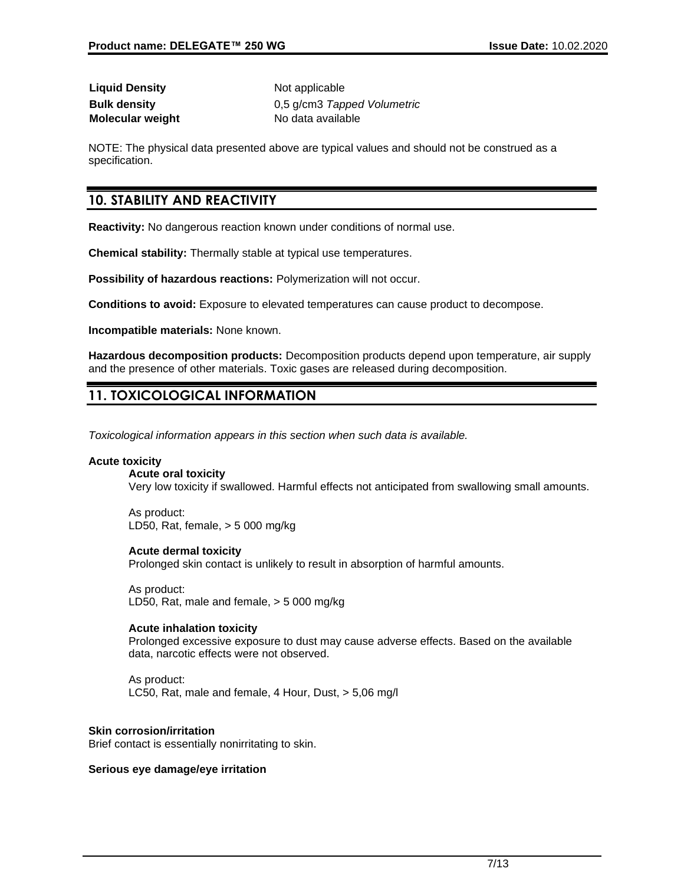**Liquid Density** Not applicable **Molecular weight** No data available

**Bulk density** 0,5 g/cm3 *Tapped Volumetric*

NOTE: The physical data presented above are typical values and should not be construed as a specification.

### **10. STABILITY AND REACTIVITY**

**Reactivity:** No dangerous reaction known under conditions of normal use.

**Chemical stability:** Thermally stable at typical use temperatures.

**Possibility of hazardous reactions:** Polymerization will not occur.

**Conditions to avoid:** Exposure to elevated temperatures can cause product to decompose.

**Incompatible materials:** None known.

**Hazardous decomposition products:** Decomposition products depend upon temperature, air supply and the presence of other materials. Toxic gases are released during decomposition.

# **11. TOXICOLOGICAL INFORMATION**

*Toxicological information appears in this section when such data is available.*

#### **Acute toxicity**

**Acute oral toxicity** Very low toxicity if swallowed. Harmful effects not anticipated from swallowing small amounts.

As product: LD50, Rat, female, > 5 000 mg/kg

#### **Acute dermal toxicity**

Prolonged skin contact is unlikely to result in absorption of harmful amounts.

As product: LD50, Rat, male and female, > 5 000 mg/kg

#### **Acute inhalation toxicity**

Prolonged excessive exposure to dust may cause adverse effects. Based on the available data, narcotic effects were not observed.

As product: LC50, Rat, male and female, 4 Hour, Dust, > 5,06 mg/l

#### **Skin corrosion/irritation**

Brief contact is essentially nonirritating to skin.

#### **Serious eye damage/eye irritation**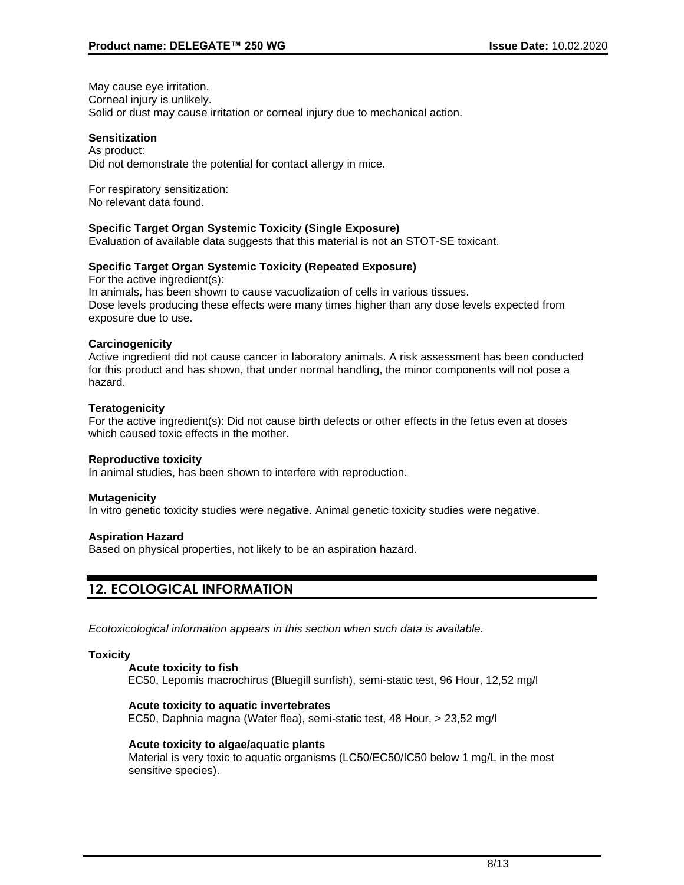May cause eye irritation. Corneal injury is unlikely. Solid or dust may cause irritation or corneal injury due to mechanical action.

#### **Sensitization**

As product: Did not demonstrate the potential for contact allergy in mice.

For respiratory sensitization: No relevant data found.

#### **Specific Target Organ Systemic Toxicity (Single Exposure)**

Evaluation of available data suggests that this material is not an STOT-SE toxicant.

#### **Specific Target Organ Systemic Toxicity (Repeated Exposure)**

For the active ingredient(s): In animals, has been shown to cause vacuolization of cells in various tissues. Dose levels producing these effects were many times higher than any dose levels expected from exposure due to use.

#### **Carcinogenicity**

Active ingredient did not cause cancer in laboratory animals. A risk assessment has been conducted for this product and has shown, that under normal handling, the minor components will not pose a hazard.

#### **Teratogenicity**

For the active ingredient(s): Did not cause birth defects or other effects in the fetus even at doses which caused toxic effects in the mother.

#### **Reproductive toxicity**

In animal studies, has been shown to interfere with reproduction.

#### **Mutagenicity**

In vitro genetic toxicity studies were negative. Animal genetic toxicity studies were negative.

#### **Aspiration Hazard**

Based on physical properties, not likely to be an aspiration hazard.

# **12. ECOLOGICAL INFORMATION**

*Ecotoxicological information appears in this section when such data is available.*

#### **Toxicity**

#### **Acute toxicity to fish**

EC50, Lepomis macrochirus (Bluegill sunfish), semi-static test, 96 Hour, 12,52 mg/l

#### **Acute toxicity to aquatic invertebrates**

EC50, Daphnia magna (Water flea), semi-static test, 48 Hour, > 23,52 mg/l

#### **Acute toxicity to algae/aquatic plants**

Material is very toxic to aquatic organisms (LC50/EC50/IC50 below 1 mg/L in the most sensitive species).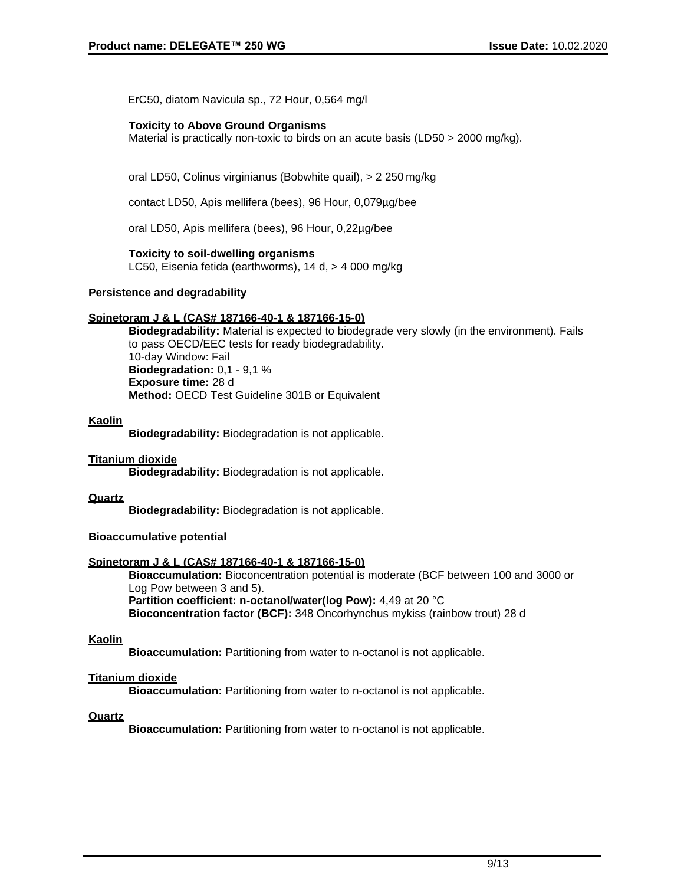ErC50, diatom Navicula sp., 72 Hour, 0,564 mg/l

#### **Toxicity to Above Ground Organisms**

Material is practically non-toxic to birds on an acute basis (LD50 > 2000 mg/kg).

oral LD50, Colinus virginianus (Bobwhite quail), > 2 250 mg/kg

contact LD50, Apis mellifera (bees), 96 Hour, 0,079µg/bee

oral LD50, Apis mellifera (bees), 96 Hour, 0,22µg/bee

#### **Toxicity to soil-dwelling organisms**

LC50, Eisenia fetida (earthworms), 14 d, > 4 000 mg/kg

#### **Persistence and degradability**

#### **Spinetoram J & L (CAS# 187166-40-1 & 187166-15-0)**

**Biodegradability:** Material is expected to biodegrade very slowly (in the environment). Fails to pass OECD/EEC tests for ready biodegradability. 10-day Window: Fail **Biodegradation:** 0,1 - 9,1 % **Exposure time:** 28 d **Method:** OECD Test Guideline 301B or Equivalent

#### **Kaolin**

**Biodegradability:** Biodegradation is not applicable.

#### **Titanium dioxide**

**Biodegradability:** Biodegradation is not applicable.

#### **Quartz**

**Biodegradability:** Biodegradation is not applicable.

#### **Bioaccumulative potential**

#### **Spinetoram J & L (CAS# 187166-40-1 & 187166-15-0)**

**Bioaccumulation:** Bioconcentration potential is moderate (BCF between 100 and 3000 or Log Pow between 3 and 5). **Partition coefficient: n-octanol/water(log Pow):** 4,49 at 20 °C **Bioconcentration factor (BCF):** 348 Oncorhynchus mykiss (rainbow trout) 28 d

#### **Kaolin**

**Bioaccumulation:** Partitioning from water to n-octanol is not applicable.

#### **Titanium dioxide**

**Bioaccumulation:** Partitioning from water to n-octanol is not applicable.

#### **Quartz**

**Bioaccumulation:** Partitioning from water to n-octanol is not applicable.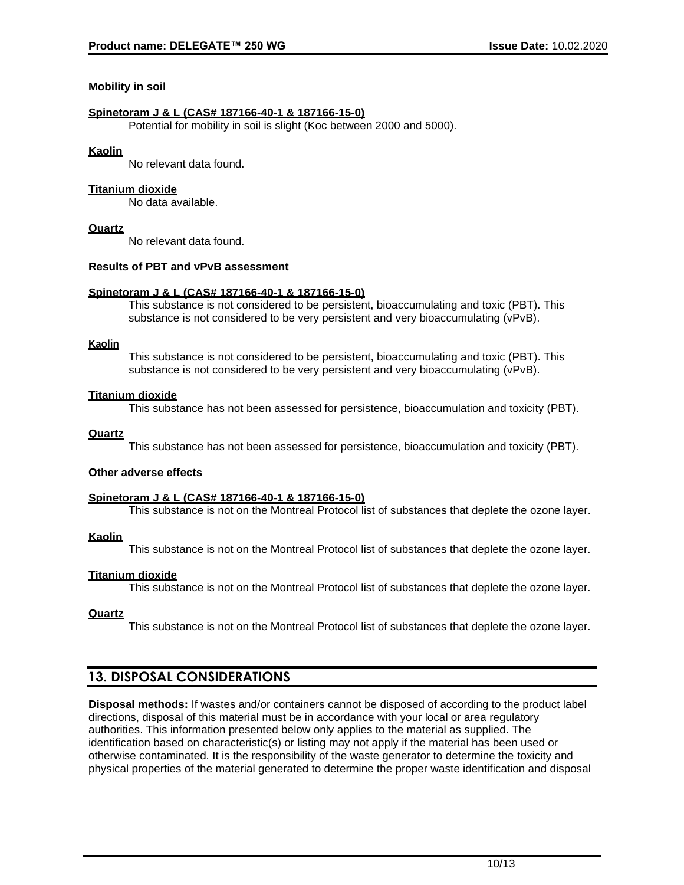#### **Mobility in soil**

#### **Spinetoram J & L (CAS# 187166-40-1 & 187166-15-0)**

Potential for mobility in soil is slight (Koc between 2000 and 5000).

#### **Kaolin**

No relevant data found.

#### **Titanium dioxide**

No data available.

#### **Quartz**

No relevant data found.

#### **Results of PBT and vPvB assessment**

#### **Spinetoram J & L (CAS# 187166-40-1 & 187166-15-0)**

This substance is not considered to be persistent, bioaccumulating and toxic (PBT). This substance is not considered to be very persistent and very bioaccumulating (vPvB).

#### **Kaolin**

This substance is not considered to be persistent, bioaccumulating and toxic (PBT). This substance is not considered to be very persistent and very bioaccumulating (vPvB).

#### **Titanium dioxide**

This substance has not been assessed for persistence, bioaccumulation and toxicity (PBT).

#### **Quartz**

This substance has not been assessed for persistence, bioaccumulation and toxicity (PBT).

#### **Other adverse effects**

#### **Spinetoram J & L (CAS# 187166-40-1 & 187166-15-0)**

This substance is not on the Montreal Protocol list of substances that deplete the ozone layer.

#### **Kaolin**

This substance is not on the Montreal Protocol list of substances that deplete the ozone layer.

#### **Titanium dioxide**

This substance is not on the Montreal Protocol list of substances that deplete the ozone layer.

#### **Quartz**

This substance is not on the Montreal Protocol list of substances that deplete the ozone layer.

### **13. DISPOSAL CONSIDERATIONS**

**Disposal methods:** If wastes and/or containers cannot be disposed of according to the product label directions, disposal of this material must be in accordance with your local or area regulatory authorities. This information presented below only applies to the material as supplied. The identification based on characteristic(s) or listing may not apply if the material has been used or otherwise contaminated. It is the responsibility of the waste generator to determine the toxicity and physical properties of the material generated to determine the proper waste identification and disposal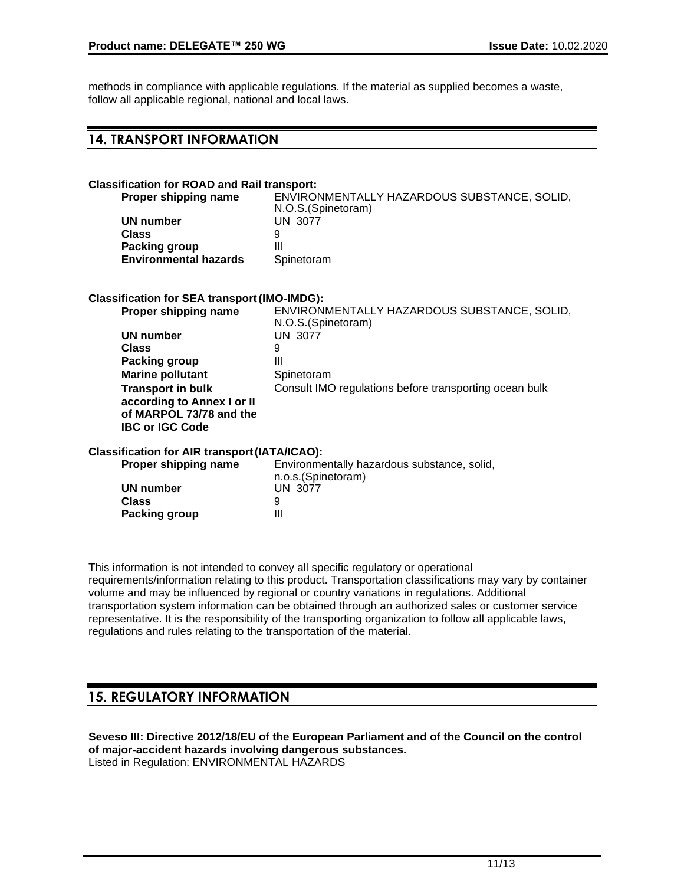methods in compliance with applicable regulations. If the material as supplied becomes a waste, follow all applicable regional, national and local laws.

### **14. TRANSPORT INFORMATION**

### **Classification for ROAD and Rail transport: ENVIRONMENTALLY HAZARDOUS SUBSTANCE, SOLID,** N.O.S.(Spinetoram) **UN number** UN 3077 **Class** 9 **Packing group III Environmental hazards** Spinetoram **Classification for SEA transport(IMO-IMDG): ENVIRONMENTALLY HAZARDOUS SUBSTANCE, SOLID,** N.O.S.(Spinetoram) **UN number** UN 3077 **Class** 9 **Packing group III Marine pollutant** Spinetoram **Transport in bulk according to Annex I or II of MARPOL 73/78 and the IBC or IGC Code** Consult IMO regulations before transporting ocean bulk **Classification for AIR transport(IATA/ICAO): Proper shipping name** Environmentally hazardous substance, solid, n.o.s.(Spinetoram) **UN number** UN 3077 **Class** 9 **Packing group III**

This information is not intended to convey all specific regulatory or operational requirements/information relating to this product. Transportation classifications may vary by container volume and may be influenced by regional or country variations in regulations. Additional transportation system information can be obtained through an authorized sales or customer service representative. It is the responsibility of the transporting organization to follow all applicable laws, regulations and rules relating to the transportation of the material.

### **15. REGULATORY INFORMATION**

**Seveso III: Directive 2012/18/EU of the European Parliament and of the Council on the control of major-accident hazards involving dangerous substances.** Listed in Regulation: ENVIRONMENTAL HAZARDS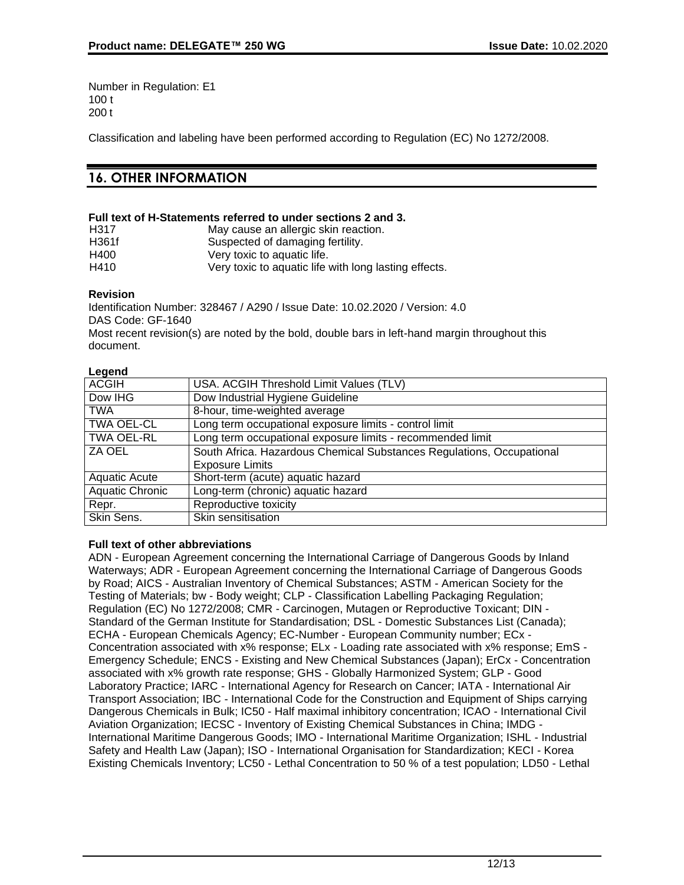Number in Regulation: E1 100 t 200 t

Classification and labeling have been performed according to Regulation (EC) No 1272/2008.

# **16. OTHER INFORMATION**

#### **Full text of H-Statements referred to under sections 2 and 3.**

| H317  | May cause an allergic skin reaction.                  |
|-------|-------------------------------------------------------|
| H361f | Suspected of damaging fertility.                      |
| H400  | Very toxic to aquatic life.                           |
| H410  | Very toxic to aquatic life with long lasting effects. |

#### **Revision**

Identification Number: 328467 / A290 / Issue Date: 10.02.2020 / Version: 4.0 DAS Code: GF-1640 Most recent revision(s) are noted by the bold, double bars in left-hand margin throughout this document.

#### **Legend**

| <b>ACGIH</b>           | USA. ACGIH Threshold Limit Values (TLV)                               |
|------------------------|-----------------------------------------------------------------------|
| Dow IHG                | Dow Industrial Hygiene Guideline                                      |
| <b>TWA</b>             | 8-hour, time-weighted average                                         |
| <b>TWA OEL-CL</b>      | Long term occupational exposure limits - control limit                |
| <b>TWA OEL-RL</b>      | Long term occupational exposure limits - recommended limit            |
| ZA OEL                 | South Africa. Hazardous Chemical Substances Regulations, Occupational |
|                        | <b>Exposure Limits</b>                                                |
| <b>Aquatic Acute</b>   | Short-term (acute) aquatic hazard                                     |
| <b>Aquatic Chronic</b> | Long-term (chronic) aquatic hazard                                    |
| Repr.                  | Reproductive toxicity                                                 |
| Skin Sens.             | Skin sensitisation                                                    |

#### **Full text of other abbreviations**

ADN - European Agreement concerning the International Carriage of Dangerous Goods by Inland Waterways; ADR - European Agreement concerning the International Carriage of Dangerous Goods by Road; AICS - Australian Inventory of Chemical Substances; ASTM - American Society for the Testing of Materials; bw - Body weight; CLP - Classification Labelling Packaging Regulation; Regulation (EC) No 1272/2008; CMR - Carcinogen, Mutagen or Reproductive Toxicant; DIN - Standard of the German Institute for Standardisation; DSL - Domestic Substances List (Canada); ECHA - European Chemicals Agency; EC-Number - European Community number; ECx - Concentration associated with x% response; ELx - Loading rate associated with x% response; EmS - Emergency Schedule; ENCS - Existing and New Chemical Substances (Japan); ErCx - Concentration associated with x% growth rate response; GHS - Globally Harmonized System; GLP - Good Laboratory Practice; IARC - International Agency for Research on Cancer; IATA - International Air Transport Association; IBC - International Code for the Construction and Equipment of Ships carrying Dangerous Chemicals in Bulk; IC50 - Half maximal inhibitory concentration; ICAO - International Civil Aviation Organization; IECSC - Inventory of Existing Chemical Substances in China; IMDG - International Maritime Dangerous Goods; IMO - International Maritime Organization; ISHL - Industrial Safety and Health Law (Japan); ISO - International Organisation for Standardization; KECI - Korea Existing Chemicals Inventory; LC50 - Lethal Concentration to 50 % of a test population; LD50 - Lethal